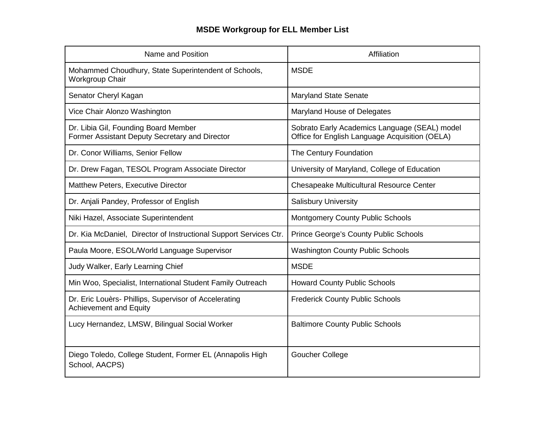## **MSDE Workgroup for ELL Member List**

| Name and Position                                                                      | Affiliation                                                                                     |
|----------------------------------------------------------------------------------------|-------------------------------------------------------------------------------------------------|
| Mohammed Choudhury, State Superintendent of Schools,<br>Workgroup Chair                | <b>MSDE</b>                                                                                     |
| Senator Cheryl Kagan                                                                   | <b>Maryland State Senate</b>                                                                    |
| Vice Chair Alonzo Washington                                                           | Maryland House of Delegates                                                                     |
| Dr. Libia Gil, Founding Board Member<br>Former Assistant Deputy Secretary and Director | Sobrato Early Academics Language (SEAL) model<br>Office for English Language Acquisition (OELA) |
| Dr. Conor Williams, Senior Fellow                                                      | The Century Foundation                                                                          |
| Dr. Drew Fagan, TESOL Program Associate Director                                       | University of Maryland, College of Education                                                    |
| Matthew Peters, Executive Director                                                     | Chesapeake Multicultural Resource Center                                                        |
| Dr. Anjali Pandey, Professor of English                                                | <b>Salisbury University</b>                                                                     |
| Niki Hazel, Associate Superintendent                                                   | <b>Montgomery County Public Schools</b>                                                         |
| Dr. Kia McDaniel, Director of Instructional Support Services Ctr.                      | <b>Prince George's County Public Schools</b>                                                    |
| Paula Moore, ESOL/World Language Supervisor                                            | <b>Washington County Public Schools</b>                                                         |
| Judy Walker, Early Learning Chief                                                      | <b>MSDE</b>                                                                                     |
| Min Woo, Specialist, International Student Family Outreach                             | <b>Howard County Public Schools</b>                                                             |
| Dr. Eric Louèrs- Phillips, Supervisor of Accelerating<br><b>Achievement and Equity</b> | <b>Frederick County Public Schools</b>                                                          |
| Lucy Hernandez, LMSW, Bilingual Social Worker                                          | <b>Baltimore County Public Schools</b>                                                          |
| Diego Toledo, College Student, Former EL (Annapolis High<br>School, AACPS)             | Goucher College                                                                                 |